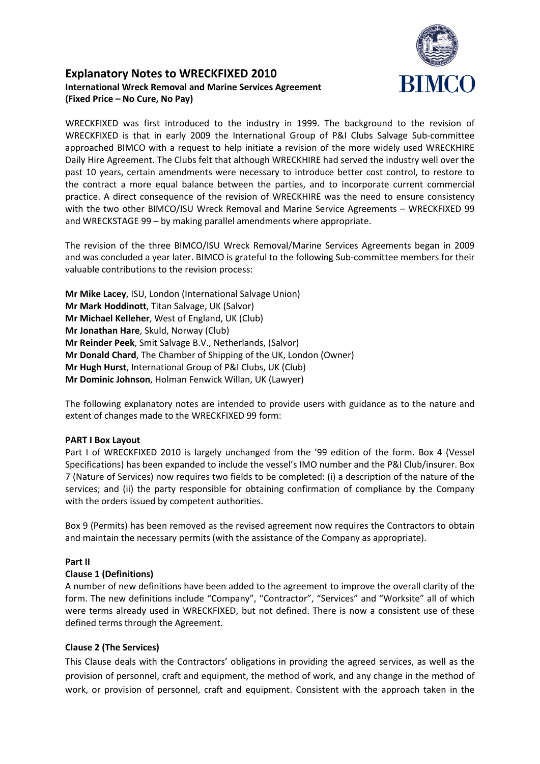

# **Explanatory Notes to WRECKFIXED 2010 International Wreck Removal and Marine Services Agreement (Fixed Price – No Cure, No Pay)**

WRECKFIXED was first introduced to the industry in 1999. The background to the revision of WRECKFIXED is that in early 2009 the International Group of P&I Clubs Salvage Sub-committee approached BIMCO with a request to help initiate a revision of the more widely used WRECKHIRE Daily Hire Agreement. The Clubs felt that although WRECKHIRE had served the industry well over the past 10 years, certain amendments were necessary to introduce better cost control, to restore to the contract a more equal balance between the parties, and to incorporate current commercial practice. A direct consequence of the revision of WRECKHIRE was the need to ensure consistency with the two other BIMCO/ISU Wreck Removal and Marine Service Agreements – WRECKFIXED 99 and WRECKSTAGE 99 – by making parallel amendments where appropriate.

The revision of the three BIMCO/ISU Wreck Removal/Marine Services Agreements began in 2009 and was concluded a year later. BIMCO is grateful to the following Sub-committee members for their valuable contributions to the revision process:

**Mr Mike Lacey**, ISU, London (International Salvage Union) **Mr Mark Hoddinott**, Titan Salvage, UK (Salvor) **Mr Michael Kelleher**, West of England, UK (Club) **Mr Jonathan Hare**, Skuld, Norway (Club) **Mr Reinder Peek**, Smit Salvage B.V., Netherlands, (Salvor) **Mr Donald Chard**, The Chamber of Shipping of the UK, London (Owner) **Mr Hugh Hurst**, International Group of P&I Clubs, UK (Club) **Mr Dominic Johnson**, Holman Fenwick Willan, UK (Lawyer)

The following explanatory notes are intended to provide users with guidance as to the nature and extent of changes made to the WRECKFIXED 99 form:

### **PART I Box Layout**

Part I of WRECKFIXED 2010 is largely unchanged from the '99 edition of the form. Box 4 (Vessel Specifications) has been expanded to include the vessel's IMO number and the P&I Club/insurer. Box 7 (Nature of Services) now requires two fields to be completed: (i) a description of the nature of the services; and (ii) the party responsible for obtaining confirmation of compliance by the Company with the orders issued by competent authorities.

Box 9 (Permits) has been removed as the revised agreement now requires the Contractors to obtain and maintain the necessary permits (with the assistance of the Company as appropriate).

### **Part II**

### **Clause 1 (Definitions)**

A number of new definitions have been added to the agreement to improve the overall clarity of the form. The new definitions include "Company", "Contractor", "Services" and "Worksite" all of which were terms already used in WRECKFIXED, but not defined. There is now a consistent use of these defined terms through the Agreement.

# **Clause 2 (The Services)**

This Clause deals with the Contractors' obligations in providing the agreed services, as well as the provision of personnel, craft and equipment, the method of work, and any change in the method of work, or provision of personnel, craft and equipment. Consistent with the approach taken in the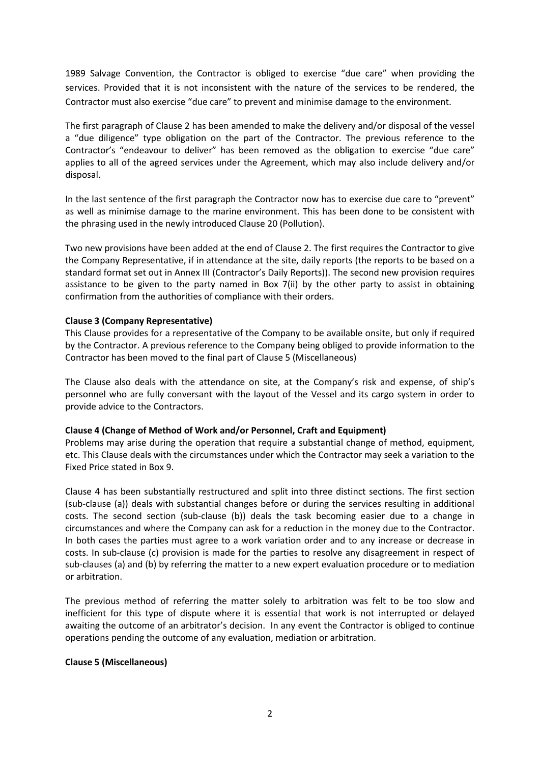1989 Salvage Convention, the Contractor is obliged to exercise "due care" when providing the services. Provided that it is not inconsistent with the nature of the services to be rendered, the Contractor must also exercise "due care" to prevent and minimise damage to the environment.

The first paragraph of Clause 2 has been amended to make the delivery and/or disposal of the vessel a "due diligence" type obligation on the part of the Contractor. The previous reference to the Contractor's "endeavour to deliver" has been removed as the obligation to exercise "due care" applies to all of the agreed services under the Agreement, which may also include delivery and/or disposal.

In the last sentence of the first paragraph the Contractor now has to exercise due care to "prevent" as well as minimise damage to the marine environment. This has been done to be consistent with the phrasing used in the newly introduced Clause 20 (Pollution).

Two new provisions have been added at the end of Clause 2. The first requires the Contractor to give the Company Representative, if in attendance at the site, daily reports (the reports to be based on a standard format set out in Annex III (Contractor's Daily Reports)). The second new provision requires assistance to be given to the party named in Box 7(ii) by the other party to assist in obtaining confirmation from the authorities of compliance with their orders.

### **Clause 3 (Company Representative)**

This Clause provides for a representative of the Company to be available onsite, but only if required by the Contractor. A previous reference to the Company being obliged to provide information to the Contractor has been moved to the final part of Clause 5 (Miscellaneous)

The Clause also deals with the attendance on site, at the Company's risk and expense, of ship's personnel who are fully conversant with the layout of the Vessel and its cargo system in order to provide advice to the Contractors.

### **Clause 4 (Change of Method of Work and/or Personnel, Craft and Equipment)**

Problems may arise during the operation that require a substantial change of method, equipment, etc. This Clause deals with the circumstances under which the Contractor may seek a variation to the Fixed Price stated in Box 9.

Clause 4 has been substantially restructured and split into three distinct sections. The first section (sub-clause (a)) deals with substantial changes before or during the services resulting in additional costs. The second section (sub-clause (b)) deals the task becoming easier due to a change in circumstances and where the Company can ask for a reduction in the money due to the Contractor. In both cases the parties must agree to a work variation order and to any increase or decrease in costs. In sub-clause (c) provision is made for the parties to resolve any disagreement in respect of sub-clauses (a) and (b) by referring the matter to a new expert evaluation procedure or to mediation or arbitration.

The previous method of referring the matter solely to arbitration was felt to be too slow and inefficient for this type of dispute where it is essential that work is not interrupted or delayed awaiting the outcome of an arbitrator's decision. In any event the Contractor is obliged to continue operations pending the outcome of any evaluation, mediation or arbitration.

### **Clause 5 (Miscellaneous)**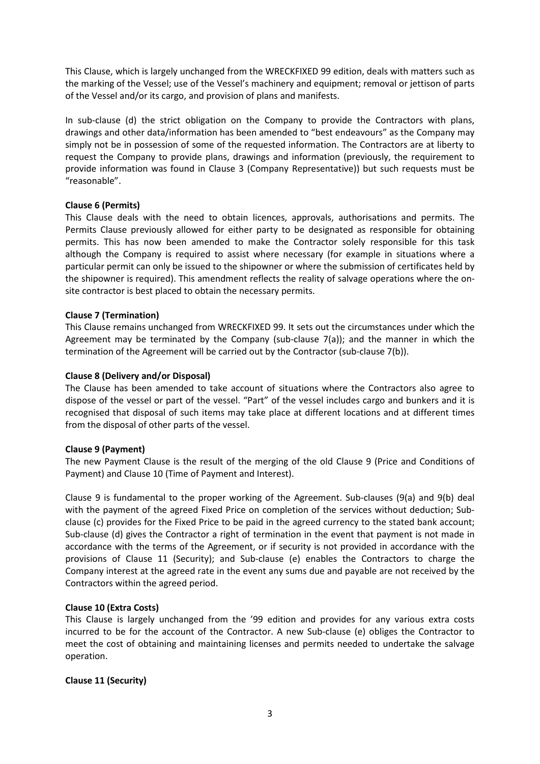This Clause, which is largely unchanged from the WRECKFIXED 99 edition, deals with matters such as the marking of the Vessel; use of the Vessel's machinery and equipment; removal or jettison of parts of the Vessel and/or its cargo, and provision of plans and manifests.

In sub-clause (d) the strict obligation on the Company to provide the Contractors with plans, drawings and other data/information has been amended to "best endeavours" as the Company may simply not be in possession of some of the requested information. The Contractors are at liberty to request the Company to provide plans, drawings and information (previously, the requirement to provide information was found in Clause 3 (Company Representative)) but such requests must be "reasonable".

### **Clause 6 (Permits)**

This Clause deals with the need to obtain licences, approvals, authorisations and permits. The Permits Clause previously allowed for either party to be designated as responsible for obtaining permits. This has now been amended to make the Contractor solely responsible for this task although the Company is required to assist where necessary (for example in situations where a particular permit can only be issued to the shipowner or where the submission of certificates held by the shipowner is required). This amendment reflects the reality of salvage operations where the onsite contractor is best placed to obtain the necessary permits.

### **Clause 7 (Termination)**

This Clause remains unchanged from WRECKFIXED 99. It sets out the circumstances under which the Agreement may be terminated by the Company (sub-clause  $7(a)$ ); and the manner in which the termination of the Agreement will be carried out by the Contractor (sub-clause 7(b)).

### **Clause 8 (Delivery and/or Disposal)**

The Clause has been amended to take account of situations where the Contractors also agree to dispose of the vessel or part of the vessel. "Part" of the vessel includes cargo and bunkers and it is recognised that disposal of such items may take place at different locations and at different times from the disposal of other parts of the vessel.

### **Clause 9 (Payment)**

The new Payment Clause is the result of the merging of the old Clause 9 (Price and Conditions of Payment) and Clause 10 (Time of Payment and Interest).

Clause 9 is fundamental to the proper working of the Agreement. Sub-clauses (9(a) and 9(b) deal with the payment of the agreed Fixed Price on completion of the services without deduction; Subclause (c) provides for the Fixed Price to be paid in the agreed currency to the stated bank account; Sub-clause (d) gives the Contractor a right of termination in the event that payment is not made in accordance with the terms of the Agreement, or if security is not provided in accordance with the provisions of Clause 11 (Security); and Sub-clause (e) enables the Contractors to charge the Company interest at the agreed rate in the event any sums due and payable are not received by the Contractors within the agreed period.

### **Clause 10 (Extra Costs)**

This Clause is largely unchanged from the '99 edition and provides for any various extra costs incurred to be for the account of the Contractor. A new Sub-clause (e) obliges the Contractor to meet the cost of obtaining and maintaining licenses and permits needed to undertake the salvage operation.

# **Clause 11 (Security)**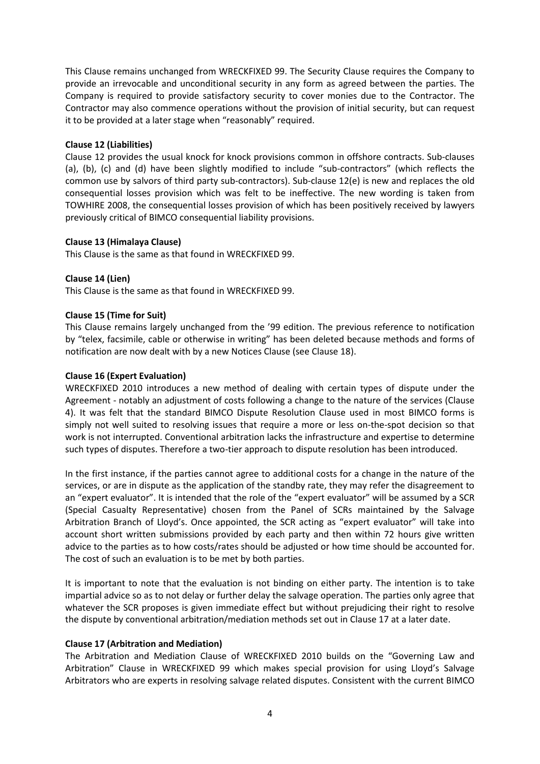This Clause remains unchanged from WRECKFIXED 99. The Security Clause requires the Company to provide an irrevocable and unconditional security in any form as agreed between the parties. The Company is required to provide satisfactory security to cover monies due to the Contractor. The Contractor may also commence operations without the provision of initial security, but can request it to be provided at a later stage when "reasonably" required.

### **Clause 12 (Liabilities)**

Clause 12 provides the usual knock for knock provisions common in offshore contracts. Sub-clauses (a), (b), (c) and (d) have been slightly modified to include "sub-contractors" (which reflects the common use by salvors of third party sub-contractors). Sub-clause 12(e) is new and replaces the old consequential losses provision which was felt to be ineffective. The new wording is taken from TOWHIRE 2008, the consequential losses provision of which has been positively received by lawyers previously critical of BIMCO consequential liability provisions.

### **Clause 13 (Himalaya Clause)**

This Clause is the same as that found in WRECKFIXED 99.

### **Clause 14 (Lien)**

This Clause is the same as that found in WRECKFIXED 99.

### **Clause 15 (Time for Suit)**

This Clause remains largely unchanged from the '99 edition. The previous reference to notification by "telex, facsimile, cable or otherwise in writing" has been deleted because methods and forms of notification are now dealt with by a new Notices Clause (see Clause 18).

### **Clause 16 (Expert Evaluation)**

WRECKFIXED 2010 introduces a new method of dealing with certain types of dispute under the Agreement - notably an adjustment of costs following a change to the nature of the services (Clause 4). It was felt that the standard BIMCO Dispute Resolution Clause used in most BIMCO forms is simply not well suited to resolving issues that require a more or less on-the-spot decision so that work is not interrupted. Conventional arbitration lacks the infrastructure and expertise to determine such types of disputes. Therefore a two-tier approach to dispute resolution has been introduced.

In the first instance, if the parties cannot agree to additional costs for a change in the nature of the services, or are in dispute as the application of the standby rate, they may refer the disagreement to an "expert evaluator". It is intended that the role of the "expert evaluator" will be assumed by a SCR (Special Casualty Representative) chosen from the Panel of SCRs maintained by the Salvage Arbitration Branch of Lloyd's. Once appointed, the SCR acting as "expert evaluator" will take into account short written submissions provided by each party and then within 72 hours give written advice to the parties as to how costs/rates should be adjusted or how time should be accounted for. The cost of such an evaluation is to be met by both parties.

It is important to note that the evaluation is not binding on either party. The intention is to take impartial advice so as to not delay or further delay the salvage operation. The parties only agree that whatever the SCR proposes is given immediate effect but without prejudicing their right to resolve the dispute by conventional arbitration/mediation methods set out in Clause 17 at a later date.

### **Clause 17 (Arbitration and Mediation)**

The Arbitration and Mediation Clause of WRECKFIXED 2010 builds on the "Governing Law and Arbitration" Clause in WRECKFIXED 99 which makes special provision for using Lloyd's Salvage Arbitrators who are experts in resolving salvage related disputes. Consistent with the current BIMCO